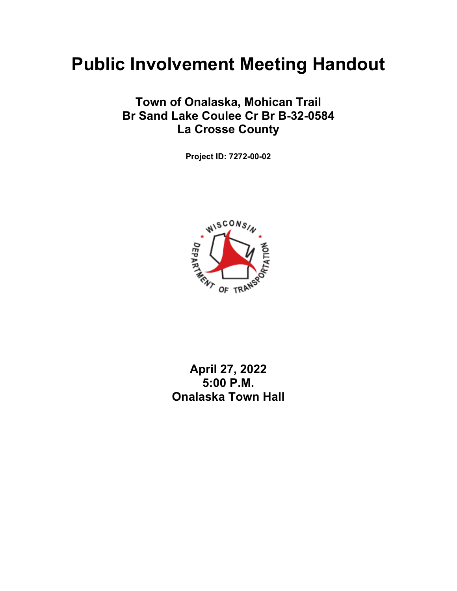# **Public Involvement Meeting Handout**

## **Town of Onalaska, Mohican Trail Br Sand Lake Coulee Cr Br B-32-0584 La Crosse County**

**Project ID: 7272-00-02** 



## **April 27, 2022 5:00 P.M. Onalaska Town Hall**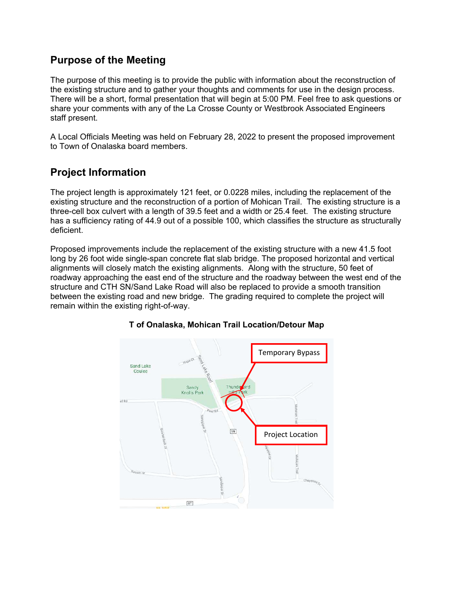#### **Purpose of the Meeting**

The purpose of this meeting is to provide the public with information about the reconstruction of the existing structure and to gather your thoughts and comments for use in the design process. There will be a short, formal presentation that will begin at 5:00 PM. Feel free to ask questions or share your comments with any of the La Crosse County or Westbrook Associated Engineers staff present.

A Local Officials Meeting was held on February 28, 2022 to present the proposed improvement to Town of Onalaska board members.

### **Project Information**

The project length is approximately 121 feet, or 0.0228 miles, including the replacement of the existing structure and the reconstruction of a portion of Mohican Trail. The existing structure is a three-cell box culvert with a length of 39.5 feet and a width or 25.4 feet. The existing structure has a sufficiency rating of 44.9 out of a possible 100, which classifies the structure as structurally deficient.

Proposed improvements include the replacement of the existing structure with a new 41.5 foot long by 26 foot wide single-span concrete flat slab bridge. The proposed horizontal and vertical alignments will closely match the existing alignments. Along with the structure, 50 feet of roadway approaching the east end of the structure and the roadway between the west end of the structure and CTH SN/Sand Lake Road will also be replaced to provide a smooth transition between the existing road and new bridge. The grading required to complete the project will remain within the existing right-of-way.



#### **T of Onalaska, Mohican Trail Location/Detour Map**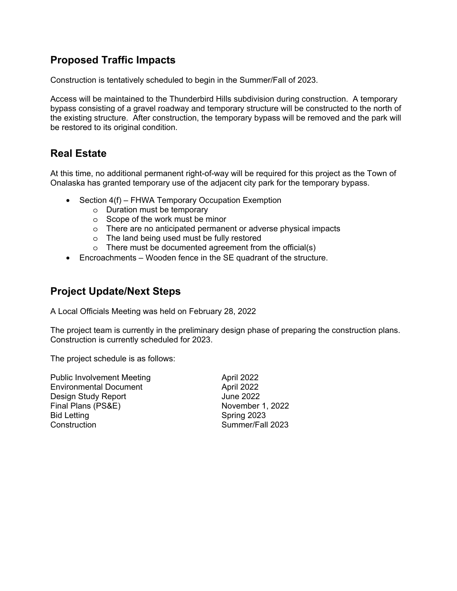#### **Proposed Traffic Impacts**

Construction is tentatively scheduled to begin in the Summer/Fall of 2023.

Access will be maintained to the Thunderbird Hills subdivision during construction. A temporary bypass consisting of a gravel roadway and temporary structure will be constructed to the north of the existing structure. After construction, the temporary bypass will be removed and the park will be restored to its original condition.

#### **Real Estate**

At this time, no additional permanent right-of-way will be required for this project as the Town of Onalaska has granted temporary use of the adjacent city park for the temporary bypass.

- Section 4(f) FHWA Temporary Occupation Exemption
	- o Duration must be temporary
	- o Scope of the work must be minor
	- o There are no anticipated permanent or adverse physical impacts
	- o The land being used must be fully restored
	- o There must be documented agreement from the official(s)
- Encroachments Wooden fence in the SE quadrant of the structure.

#### **Project Update/Next Steps**

A Local Officials Meeting was held on February 28, 2022

The project team is currently in the preliminary design phase of preparing the construction plans. Construction is currently scheduled for 2023.

The project schedule is as follows:

| April 2022       |
|------------------|
| April 2022       |
| <b>June 2022</b> |
| November 1, 2022 |
| Spring 2023      |
| Summer/Fall 2023 |
|                  |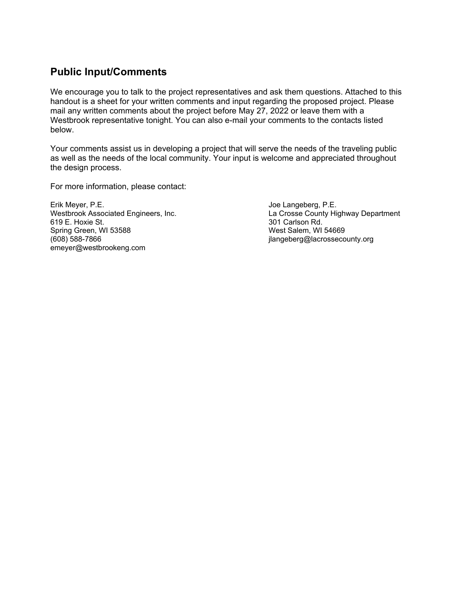#### **Public Input/Comments**

We encourage you to talk to the project representatives and ask them questions. Attached to this handout is a sheet for your written comments and input regarding the proposed project. Please mail any written comments about the project before May 27, 2022 or leave them with a Westbrook representative tonight. You can also e-mail your comments to the contacts listed below.

Your comments assist us in developing a project that will serve the needs of the traveling public as well as the needs of the local community. Your input is welcome and appreciated throughout the design process.

For more information, please contact:

Erik Meyer, P.E. Joe Langeberg, P.E. Spring Green, WI 53588 West Salem, WI 54669 emeyer@westbrookeng.com

Westbrook Associated Engineers, Inc. Connect Management La Crosse County Highway Department<br>
619 E. Hoxie St. (619 E. Hoxie St. 2014) 301 Carlson Rd. jlangeberg@lacrossecounty.org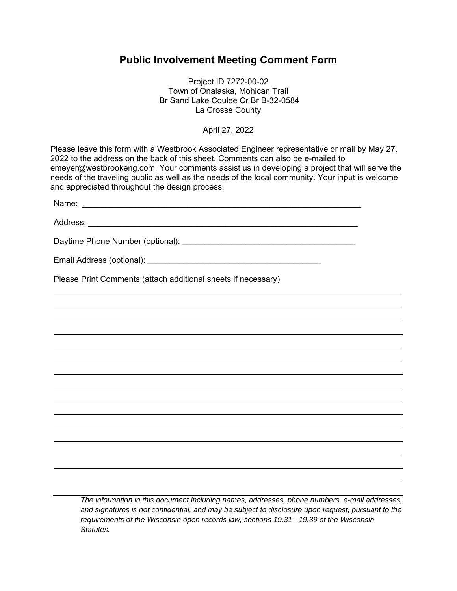#### **Public Involvement Meeting Comment Form**

Project ID 7272-00-02 Town of Onalaska, Mohican Trail Br Sand Lake Coulee Cr Br B-32-0584 La Crosse County

April 27, 2022

| Please leave this form with a Westbrook Associated Engineer representative or mail by May 27,<br>2022 to the address on the back of this sheet. Comments can also be e-mailed to<br>emeyer@westbrookeng.com. Your comments assist us in developing a project that will serve the<br>needs of the traveling public as well as the needs of the local community. Your input is welcome<br>and appreciated throughout the design process. |  |
|----------------------------------------------------------------------------------------------------------------------------------------------------------------------------------------------------------------------------------------------------------------------------------------------------------------------------------------------------------------------------------------------------------------------------------------|--|
|                                                                                                                                                                                                                                                                                                                                                                                                                                        |  |
|                                                                                                                                                                                                                                                                                                                                                                                                                                        |  |
|                                                                                                                                                                                                                                                                                                                                                                                                                                        |  |
|                                                                                                                                                                                                                                                                                                                                                                                                                                        |  |
| Please Print Comments (attach additional sheets if necessary)                                                                                                                                                                                                                                                                                                                                                                          |  |
|                                                                                                                                                                                                                                                                                                                                                                                                                                        |  |
|                                                                                                                                                                                                                                                                                                                                                                                                                                        |  |
|                                                                                                                                                                                                                                                                                                                                                                                                                                        |  |
|                                                                                                                                                                                                                                                                                                                                                                                                                                        |  |
|                                                                                                                                                                                                                                                                                                                                                                                                                                        |  |
|                                                                                                                                                                                                                                                                                                                                                                                                                                        |  |
|                                                                                                                                                                                                                                                                                                                                                                                                                                        |  |
|                                                                                                                                                                                                                                                                                                                                                                                                                                        |  |
|                                                                                                                                                                                                                                                                                                                                                                                                                                        |  |
|                                                                                                                                                                                                                                                                                                                                                                                                                                        |  |
|                                                                                                                                                                                                                                                                                                                                                                                                                                        |  |
|                                                                                                                                                                                                                                                                                                                                                                                                                                        |  |
|                                                                                                                                                                                                                                                                                                                                                                                                                                        |  |
| The information in this degument including names, addresses, phone numbers, a mail addresses                                                                                                                                                                                                                                                                                                                                           |  |

*The information in this document including names, addresses, phone numbers, e-mail addresses, and signatures is not confidential, and may be subject to disclosure upon request, pursuant to the requirements of the Wisconsin open records law, sections 19.31 - 19.39 of the Wisconsin Statutes.*